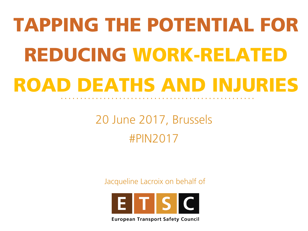## TAPPING THE POTENTIAL FOR REDUCING WORK-RELATED ROAD DEATHS AND INJURIES

#### 20 June 2017, Brussels #PIN2017

Jacqueline Lacroix on behalf of



**European Transport Safety Council**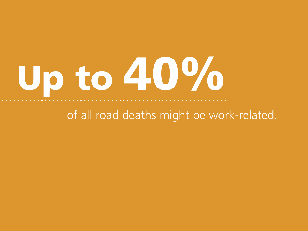# Up to 40%

#### of all road deaths might be work-related.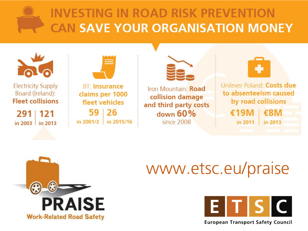#### **INVESTING IN ROAD RISK PREVENTION CAN SAVE YOUR ORGANISATION MONEY**





#### www.etsc.eu/praise



**European Transport Safety Council**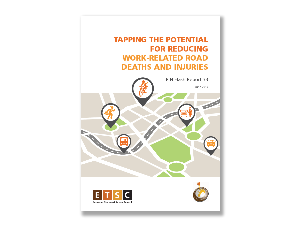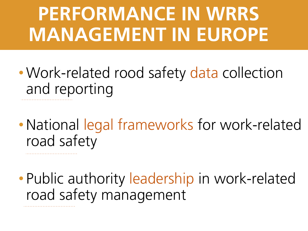## **MANAGEMENT IN EUROPE PERFORMANCE IN WRRS**

- Work-related rood safety data collection and reporting
- National legal frameworks for work-related road safety
- Public authority leadership in work-related road safety management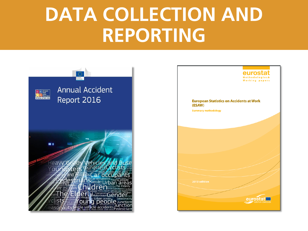#### **DATA COLLECTION AND REPORTING**

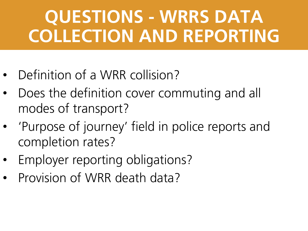#### **QUESTIONS - WRRS DATA COLLECTION AND REPORTING**

- Definition of a WRR collision?
- Does the definition cover commuting and all modes of transport?
- 'Purpose of journey' field in police reports and completion rates?
- Employer reporting obligations?
- Provision of WRR death data?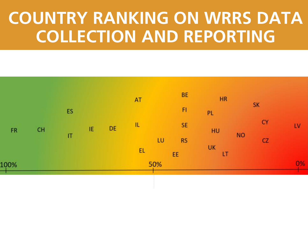#### **COUNTRY RANKING ON WRRS DATA COLLECTION AND REPORTING**

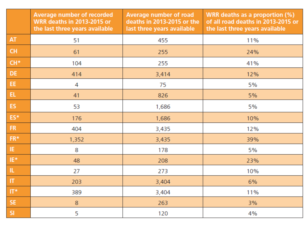|              | <b>Average number of recorded</b><br><b>WRR deaths in 2013-2015 or</b><br>the last three years available | <b>Average number of road</b><br>deaths in 2013-2015 or the<br>last three years available | <b>WRR</b> deaths as a proportion (%)<br>of all road deaths in 2013-2015 or<br>the last three years available |  |
|--------------|----------------------------------------------------------------------------------------------------------|-------------------------------------------------------------------------------------------|---------------------------------------------------------------------------------------------------------------|--|
| AT           | 51                                                                                                       | 455                                                                                       | 11%                                                                                                           |  |
| <b>CH</b>    | 61                                                                                                       | 255                                                                                       | 24%                                                                                                           |  |
| $CH*$        | 104                                                                                                      | 255                                                                                       | 41%                                                                                                           |  |
| DE           | 414                                                                                                      | 3,414                                                                                     | 12%                                                                                                           |  |
| EE           | 4                                                                                                        | 75                                                                                        | 5%                                                                                                            |  |
| EL           | 41                                                                                                       | 826                                                                                       | 5%                                                                                                            |  |
| ES           | 53                                                                                                       | 1,686                                                                                     | 5%                                                                                                            |  |
| ES*          | 176                                                                                                      | 1,686                                                                                     | 10%                                                                                                           |  |
| ${\sf FR}$   | 404                                                                                                      | 3,435                                                                                     | 12%                                                                                                           |  |
| $FR*$        | 1,352                                                                                                    | 3,435                                                                                     | 39%                                                                                                           |  |
| HE.          | 8                                                                                                        | 178                                                                                       | 5%                                                                                                            |  |
| $IE*$        | 48                                                                                                       | 208                                                                                       | 23%                                                                                                           |  |
| $\,$ IL      | 27                                                                                                       | 273                                                                                       | 10%                                                                                                           |  |
| $\mathbf{H}$ | 203                                                                                                      | 3,404                                                                                     | 6%                                                                                                            |  |
| $\Pi^*$      | 389                                                                                                      | 3,404                                                                                     | 11%                                                                                                           |  |
| <b>SE</b>    | 8                                                                                                        | 263                                                                                       | 3%                                                                                                            |  |
| SI           | 5                                                                                                        | 120                                                                                       | 4%                                                                                                            |  |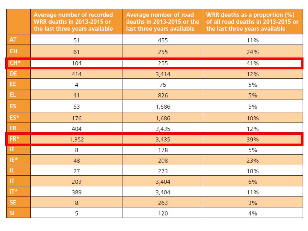|                     | <b>Average number of recorded</b><br><b>WRR deaths in 2013-2015 or</b><br>the last three years available | <b>Average number of road</b><br>deaths in 2013-2015 or the<br>last three years available | WRR deaths as a proportion (%)<br>of all road deaths in 2013-2015 or<br>the last three years available |  |
|---------------------|----------------------------------------------------------------------------------------------------------|-------------------------------------------------------------------------------------------|--------------------------------------------------------------------------------------------------------|--|
| <b>AT</b>           | 51                                                                                                       | 455                                                                                       | 11%                                                                                                    |  |
| <b>CH</b>           | 61                                                                                                       | 255                                                                                       | 24%                                                                                                    |  |
| $CH*$               | 104                                                                                                      | 255                                                                                       | 41%                                                                                                    |  |
| DE                  | 414                                                                                                      | 3,414                                                                                     | 12%                                                                                                    |  |
| EE.                 | 4                                                                                                        | 75                                                                                        | 5%                                                                                                     |  |
| EL.                 | 41                                                                                                       | 826                                                                                       | 5%                                                                                                     |  |
| ES.                 | 53                                                                                                       | 1,686                                                                                     | 5%                                                                                                     |  |
| ES*                 | 176                                                                                                      | 1,686                                                                                     | 10%                                                                                                    |  |
| FR                  | 404                                                                                                      | 3,435                                                                                     | 12%                                                                                                    |  |
| $\mathsf{FR}^\star$ | 1,352                                                                                                    | 3,435                                                                                     | 39%                                                                                                    |  |
| IE.                 | 8                                                                                                        | 178                                                                                       | 5%                                                                                                     |  |
| IE*                 | 48                                                                                                       | 208                                                                                       | 23%                                                                                                    |  |
| Ш.                  | 27                                                                                                       | 273                                                                                       | 10%                                                                                                    |  |
| $\Pi$               | 203                                                                                                      | 3,404                                                                                     | 6%                                                                                                     |  |
| $IT*$               | 389                                                                                                      | 3,404                                                                                     | 11%                                                                                                    |  |
| SE.                 | 8                                                                                                        | 263                                                                                       | 3%                                                                                                     |  |
| SI.                 | 5                                                                                                        | 120                                                                                       | 4%                                                                                                     |  |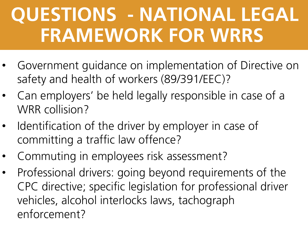## **QUESTIONS - NATIONAL LEGAL FRAMEWORK FOR WRRS**

- Government guidance on implementation of Directive on safety and health of workers (89/391/EEC)?
- Can employers' be held legally responsible in case of a WRR collision?
- Identification of the driver by employer in case of committing a traffic law offence?
- Commuting in employees risk assessment?
- Professional drivers: going beyond requirements of the CPC directive; specific legislation for professional driver vehicles, alcohol interlocks laws, tachograph enforcement?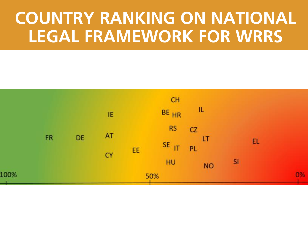#### **COUNTRY RANKING ON NATIONAL LEGAL FRAMEWORK FOR WRRS**

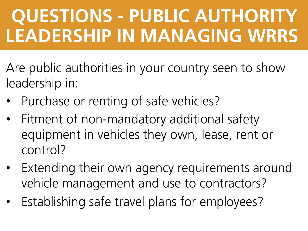### **QUESTIONS - PUBLIC AUTHORITY LEADERSHIP IN MANAGING WRRS**

- Are public authorities in your country seen to show leadership in:
- Purchase or renting of safe vehicles?
- Fitment of non-mandatory additional safety equipment in vehicles they own, lease, rent or control?
- Extending their own agency requirements around vehicle management and use to contractors?
- Establishing safe travel plans for employees?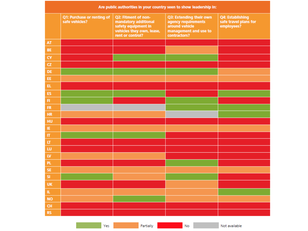| Are public authorities in your country seen to show leadership in: |                                              |                                                                                                                     |                                                                                                           |                                                         |  |  |  |
|--------------------------------------------------------------------|----------------------------------------------|---------------------------------------------------------------------------------------------------------------------|-----------------------------------------------------------------------------------------------------------|---------------------------------------------------------|--|--|--|
|                                                                    | Q1: Purchase or renting of<br>safe vehicles? | Q2: Fitment of non-<br>mandatory additional<br>safety equipment in<br>vehicles they own, lease,<br>rent or control? | Q3: Extending their own<br>agency requirements<br>around vehicle<br>management and use to<br>contractors? | Q4: Establishing<br>safe travel plans for<br>employees? |  |  |  |
| AT                                                                 |                                              |                                                                                                                     |                                                                                                           |                                                         |  |  |  |
| BE                                                                 |                                              |                                                                                                                     |                                                                                                           |                                                         |  |  |  |
| CY                                                                 |                                              |                                                                                                                     |                                                                                                           |                                                         |  |  |  |
| CZ                                                                 |                                              |                                                                                                                     |                                                                                                           |                                                         |  |  |  |
| DE                                                                 |                                              |                                                                                                                     |                                                                                                           |                                                         |  |  |  |
| EE                                                                 |                                              |                                                                                                                     |                                                                                                           |                                                         |  |  |  |
| EL.                                                                |                                              |                                                                                                                     |                                                                                                           |                                                         |  |  |  |
| ES                                                                 |                                              |                                                                                                                     |                                                                                                           |                                                         |  |  |  |
| H                                                                  |                                              |                                                                                                                     |                                                                                                           |                                                         |  |  |  |
| ${\sf FR}$                                                         |                                              |                                                                                                                     |                                                                                                           |                                                         |  |  |  |
| HR                                                                 |                                              |                                                                                                                     |                                                                                                           |                                                         |  |  |  |
| HU                                                                 |                                              |                                                                                                                     |                                                                                                           |                                                         |  |  |  |
| IE.                                                                |                                              |                                                                                                                     |                                                                                                           |                                                         |  |  |  |
| $\boldsymbol{\Pi}$                                                 |                                              |                                                                                                                     |                                                                                                           |                                                         |  |  |  |
| $\mathbf{u}$                                                       |                                              |                                                                                                                     |                                                                                                           |                                                         |  |  |  |
| LU<br>${\sf I\!N}$                                                 |                                              |                                                                                                                     |                                                                                                           |                                                         |  |  |  |
| PL.                                                                |                                              |                                                                                                                     |                                                                                                           |                                                         |  |  |  |
| SE                                                                 |                                              |                                                                                                                     |                                                                                                           |                                                         |  |  |  |
| <b>SI</b>                                                          |                                              |                                                                                                                     |                                                                                                           |                                                         |  |  |  |
| <b>UK</b>                                                          |                                              |                                                                                                                     |                                                                                                           |                                                         |  |  |  |
| IL.                                                                |                                              |                                                                                                                     |                                                                                                           |                                                         |  |  |  |
| <b>NO</b>                                                          |                                              |                                                                                                                     |                                                                                                           |                                                         |  |  |  |
| CH                                                                 |                                              |                                                                                                                     |                                                                                                           |                                                         |  |  |  |
| $\mathsf{RS}$                                                      |                                              |                                                                                                                     |                                                                                                           |                                                         |  |  |  |
|                                                                    |                                              |                                                                                                                     |                                                                                                           |                                                         |  |  |  |
|                                                                    | Yes                                          | Partially                                                                                                           | No. 1996                                                                                                  | Not available                                           |  |  |  |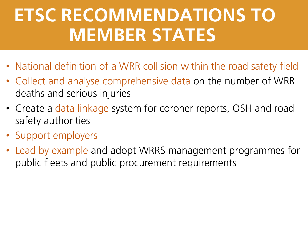#### **ETSC RECOMMENDATIONS TO MEMBER STATES**

- National definition of a WRR collision within the road safety field
- Collect and analyse comprehensive data on the number of WRR deaths and serious injuries
- Create a data linkage system for coroner reports, OSH and road safety authorities
- Support employers
- Lead by example and adopt WRRS management programmes for public fleets and public procurement requirements